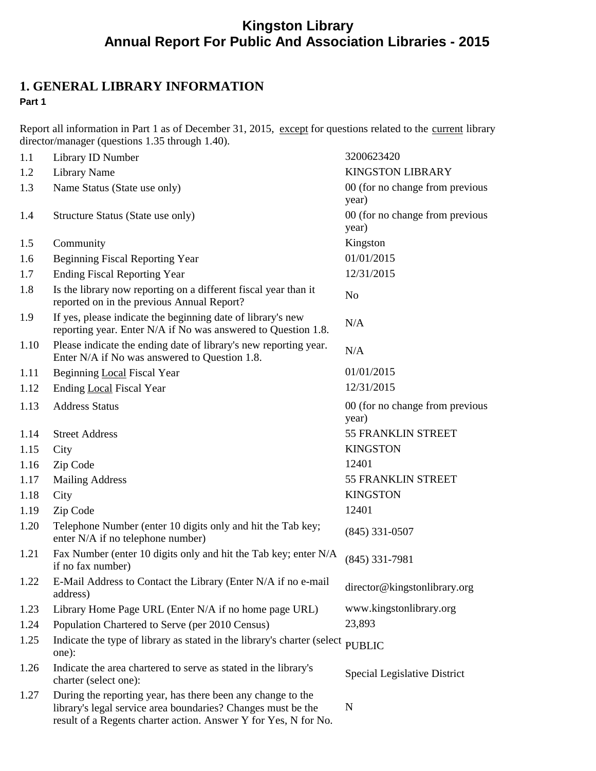# **Kingston Library Annual Report For Public And Association Libraries - 2015**

### **1. GENERAL LIBRARY INFORMATION Part 1**

Report all information in Part 1 as of December 31, 2015, except for questions related to the current library director/manager (questions 1.35 through 1.40).

| 1.1  | Library ID Number                                                                                                                                                                              | 3200623420                               |
|------|------------------------------------------------------------------------------------------------------------------------------------------------------------------------------------------------|------------------------------------------|
| 1.2  | <b>Library Name</b>                                                                                                                                                                            | <b>KINGSTON LIBRARY</b>                  |
| 1.3  | Name Status (State use only)                                                                                                                                                                   | 00 (for no change from previous<br>year) |
| 1.4  | Structure Status (State use only)                                                                                                                                                              | 00 (for no change from previous<br>year) |
| 1.5  | Community                                                                                                                                                                                      | Kingston                                 |
| 1.6  | <b>Beginning Fiscal Reporting Year</b>                                                                                                                                                         | 01/01/2015                               |
| 1.7  | <b>Ending Fiscal Reporting Year</b>                                                                                                                                                            | 12/31/2015                               |
| 1.8  | Is the library now reporting on a different fiscal year than it<br>reported on in the previous Annual Report?                                                                                  | N <sub>o</sub>                           |
| 1.9  | If yes, please indicate the beginning date of library's new<br>reporting year. Enter N/A if No was answered to Question 1.8.                                                                   | N/A                                      |
| 1.10 | Please indicate the ending date of library's new reporting year.<br>Enter N/A if No was answered to Question 1.8.                                                                              | N/A                                      |
| 1.11 | Beginning Local Fiscal Year                                                                                                                                                                    | 01/01/2015                               |
| 1.12 | <b>Ending Local Fiscal Year</b>                                                                                                                                                                | 12/31/2015                               |
| 1.13 | <b>Address Status</b>                                                                                                                                                                          | 00 (for no change from previous<br>year) |
| 1.14 | <b>Street Address</b>                                                                                                                                                                          | <b>55 FRANKLIN STREET</b>                |
| 1.15 | City                                                                                                                                                                                           | <b>KINGSTON</b>                          |
| 1.16 | Zip Code                                                                                                                                                                                       | 12401                                    |
| 1.17 | <b>Mailing Address</b>                                                                                                                                                                         | <b>55 FRANKLIN STREET</b>                |
| 1.18 | City                                                                                                                                                                                           | <b>KINGSTON</b>                          |
| 1.19 | Zip Code                                                                                                                                                                                       | 12401                                    |
| 1.20 | Telephone Number (enter 10 digits only and hit the Tab key;<br>enter N/A if no telephone number)                                                                                               | $(845)$ 331-0507                         |
| 1.21 | Fax Number (enter 10 digits only and hit the Tab key; enter N/A<br>if no fax number)                                                                                                           | $(845)$ 331-7981                         |
| 1.22 | E-Mail Address to Contact the Library (Enter N/A if no e-mail<br>address)                                                                                                                      | director@kingstonlibrary.org             |
| 1.23 | Library Home Page URL (Enter N/A if no home page URL)                                                                                                                                          | www.kingstonlibrary.org                  |
| 1.24 | Population Chartered to Serve (per 2010 Census)                                                                                                                                                | 23,893                                   |
| 1.25 | Indicate the type of library as stated in the library's charter (select<br>one):                                                                                                               | $\ensuremath{\mathsf{P}}\text{UBLIC}$    |
| 1.26 | Indicate the area chartered to serve as stated in the library's<br>charter (select one):                                                                                                       | Special Legislative District             |
| 1.27 | During the reporting year, has there been any change to the<br>library's legal service area boundaries? Changes must be the<br>result of a Regents charter action. Answer Y for Yes, N for No. | N                                        |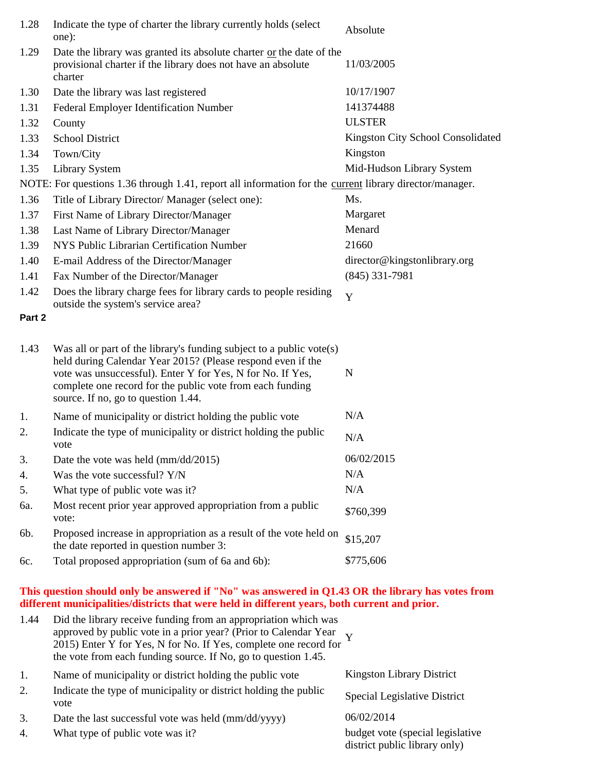| 1.28   | Indicate the type of charter the library currently holds (select<br>one):                                                                                                                                                                                                                             | Absolute                          |  |  |
|--------|-------------------------------------------------------------------------------------------------------------------------------------------------------------------------------------------------------------------------------------------------------------------------------------------------------|-----------------------------------|--|--|
| 1.29   | Date the library was granted its absolute charter or the date of the<br>provisional charter if the library does not have an absolute<br>charter                                                                                                                                                       | 11/03/2005                        |  |  |
| 1.30   | Date the library was last registered                                                                                                                                                                                                                                                                  | 10/17/1907                        |  |  |
| 1.31   | Federal Employer Identification Number                                                                                                                                                                                                                                                                | 141374488                         |  |  |
| 1.32   | County                                                                                                                                                                                                                                                                                                | <b>ULSTER</b>                     |  |  |
| 1.33   | <b>School District</b>                                                                                                                                                                                                                                                                                | Kingston City School Consolidated |  |  |
| 1.34   | Town/City                                                                                                                                                                                                                                                                                             | Kingston                          |  |  |
| 1.35   | <b>Library System</b>                                                                                                                                                                                                                                                                                 | Mid-Hudson Library System         |  |  |
|        | NOTE: For questions 1.36 through 1.41, report all information for the current library director/manager.                                                                                                                                                                                               |                                   |  |  |
| 1.36   | Title of Library Director/ Manager (select one):                                                                                                                                                                                                                                                      | Ms.                               |  |  |
| 1.37   | First Name of Library Director/Manager                                                                                                                                                                                                                                                                | Margaret                          |  |  |
| 1.38   | Last Name of Library Director/Manager                                                                                                                                                                                                                                                                 | Menard                            |  |  |
| 1.39   | NYS Public Librarian Certification Number                                                                                                                                                                                                                                                             | 21660                             |  |  |
| 1.40   | E-mail Address of the Director/Manager                                                                                                                                                                                                                                                                | director@kingstonlibrary.org      |  |  |
| 1.41   | Fax Number of the Director/Manager                                                                                                                                                                                                                                                                    | $(845)$ 331-7981                  |  |  |
| 1.42   | Does the library charge fees for library cards to people residing<br>outside the system's service area?                                                                                                                                                                                               | Y                                 |  |  |
| Part 2 |                                                                                                                                                                                                                                                                                                       |                                   |  |  |
| 1.43   | Was all or part of the library's funding subject to a public vote(s)<br>held during Calendar Year 2015? (Please respond even if the<br>vote was unsuccessful). Enter Y for Yes, N for No. If Yes,<br>complete one record for the public vote from each funding<br>source. If no, go to question 1.44. | N                                 |  |  |
| 1.     | Name of municipality or district holding the public vote                                                                                                                                                                                                                                              | N/A                               |  |  |
| 2.     | Indicate the type of municipality or district holding the public<br>vote                                                                                                                                                                                                                              | N/A                               |  |  |
| 3.     | Date the vote was held (mm/dd/2015)                                                                                                                                                                                                                                                                   | 06/02/2015                        |  |  |
| 4.     | Was the vote successful? Y/N                                                                                                                                                                                                                                                                          | N/A                               |  |  |
| 5.     | What type of public vote was it?                                                                                                                                                                                                                                                                      | N/A                               |  |  |
| ба.    | Most recent prior year approved appropriation from a public<br>vote:                                                                                                                                                                                                                                  | \$760,399                         |  |  |
| 6b.    | Proposed increase in appropriation as a result of the vote held on<br>the date reported in question number 3:                                                                                                                                                                                         | \$15,207                          |  |  |
| 6с.    | Total proposed appropriation (sum of 6a and 6b):                                                                                                                                                                                                                                                      | \$775,606                         |  |  |

#### **This question should only be answered if "No" was answered in Q1.43 OR the library has votes from different municipalities/districts that were held in different years, both current and prior.**

| 1.44 | Did the library receive funding from an appropriation which was<br>approved by public vote in a prior year? (Prior to Calendar Year 2015) Enter Y for Yes, N for No. If Yes, complete one record for<br>the vote from each funding source. If No, go to question 1.45. |                                                                    |
|------|------------------------------------------------------------------------------------------------------------------------------------------------------------------------------------------------------------------------------------------------------------------------|--------------------------------------------------------------------|
| 1.   | Name of municipality or district holding the public vote                                                                                                                                                                                                               | Kingston Library District                                          |
| 2.   | Indicate the type of municipality or district holding the public<br>vote                                                                                                                                                                                               | Special Legislative District                                       |
| 3.   | Date the last successful vote was held $\frac{\text{mm}}{\text{dd}}\text{yyyy}$                                                                                                                                                                                        | 06/02/2014                                                         |
| 4.   | What type of public vote was it?                                                                                                                                                                                                                                       | budget vote (special legislative)<br>district public library only) |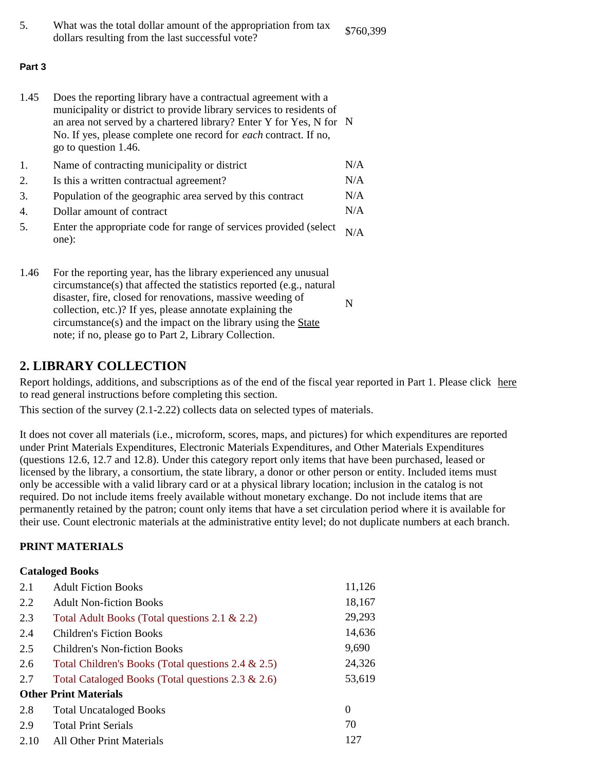| What was the total dollar amount of the appropriation from tax | \$760,399 |  |
|----------------------------------------------------------------|-----------|--|
| dollars resulting from the last successful vote?               |           |  |

#### **Part 3**

1.45 Does the reporting library have a contractual agreement with a municipality or district to provide library services to residents of an area not served by a chartered library? Enter Y for Yes, N for N No. If yes, please complete one record for *each* contract. If no, go to question 1.46.

| 1. | Name of contracting municipality or district                                     | N/A |
|----|----------------------------------------------------------------------------------|-----|
| 2. | Is this a written contractual agreement?                                         | N/A |
| 3. | Population of the geographic area served by this contract                        | N/A |
| 4. | Dollar amount of contract                                                        | N/A |
| 5. | Enter the appropriate code for range of services provided (select $N/A$<br>one): |     |

| 1.46 | For the reporting year, has the library experienced any unusual      |   |
|------|----------------------------------------------------------------------|---|
|      | circumstance(s) that affected the statistics reported (e.g., natural |   |
|      | disaster, fire, closed for renovations, massive weeding of           | N |
|      | collection, etc.)? If yes, please annotate explaining the            |   |
|      | circumstance(s) and the impact on the library using the State        |   |
|      | note; if no, please go to Part 2, Library Collection.                |   |

### **2. LIBRARY COLLECTION**

Report holdings, additions, and subscriptions as of the end of the fiscal year reported in Part 1. Please click here to read general instructions before completing this section.

This section of the survey (2.1-2.22) collects data on selected types of materials.

It does not cover all materials (i.e., microform, scores, maps, and pictures) for which expenditures are reported under Print Materials Expenditures, Electronic Materials Expenditures, and Other Materials Expenditures (questions 12.6, 12.7 and 12.8). Under this category report only items that have been purchased, leased or licensed by the library, a consortium, the state library, a donor or other person or entity. Included items must only be accessible with a valid library card or at a physical library location; inclusion in the catalog is not required. Do not include items freely available without monetary exchange. Do not include items that are permanently retained by the patron; count only items that have a set circulation period where it is available for their use. Count electronic materials at the administrative entity level; do not duplicate numbers at each branch.

### **PRINT MATERIALS**

### **Cataloged Books**

| 2.1  | <b>Adult Fiction Books</b>                            | 11,126 |
|------|-------------------------------------------------------|--------|
| 2.2  | <b>Adult Non-fiction Books</b>                        | 18,167 |
| 2.3  | Total Adult Books (Total questions 2.1 & 2.2)         | 29,293 |
| 2.4  | <b>Children's Fiction Books</b>                       | 14,636 |
| 2.5  | <b>Children's Non-fiction Books</b>                   | 9,690  |
| 2.6  | Total Children's Books (Total questions 2.4 & 2.5)    | 24,326 |
| 2.7  | Total Cataloged Books (Total questions $2.3 \& 2.6$ ) | 53,619 |
|      | <b>Other Print Materials</b>                          |        |
| 2.8  | <b>Total Uncataloged Books</b>                        | 0      |
| 2.9  | <b>Total Print Serials</b>                            | 70     |
| 2.10 | <b>All Other Print Materials</b>                      | 127    |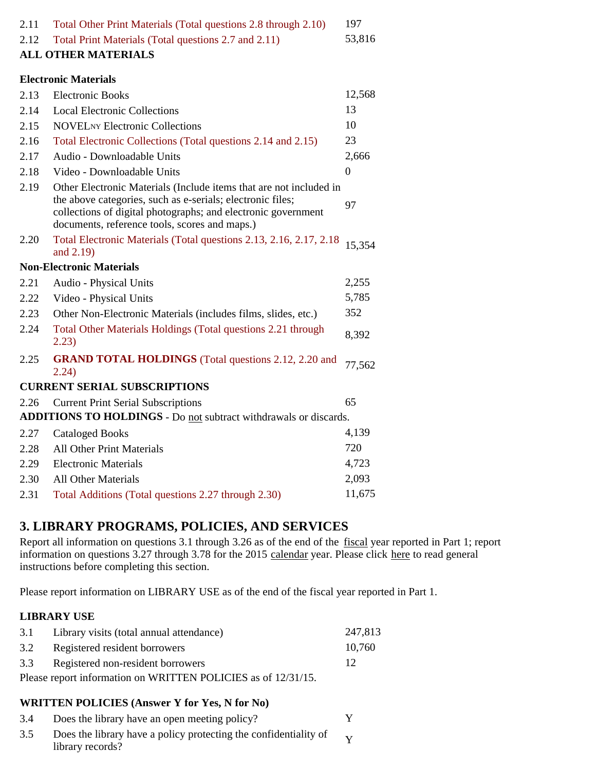| Total Other Print Materials (Total questions 2.8 through 2.10)                                                                                                                                                                                     | 197                                                                                                                                                                                                     |
|----------------------------------------------------------------------------------------------------------------------------------------------------------------------------------------------------------------------------------------------------|---------------------------------------------------------------------------------------------------------------------------------------------------------------------------------------------------------|
| Total Print Materials (Total questions 2.7 and 2.11)                                                                                                                                                                                               | 53,816                                                                                                                                                                                                  |
|                                                                                                                                                                                                                                                    |                                                                                                                                                                                                         |
|                                                                                                                                                                                                                                                    |                                                                                                                                                                                                         |
| <b>Electronic Books</b>                                                                                                                                                                                                                            | 12,568                                                                                                                                                                                                  |
| <b>Local Electronic Collections</b>                                                                                                                                                                                                                | 13                                                                                                                                                                                                      |
| <b>NOVEL</b> NY Electronic Collections                                                                                                                                                                                                             | 10                                                                                                                                                                                                      |
| Total Electronic Collections (Total questions 2.14 and 2.15)                                                                                                                                                                                       | 23                                                                                                                                                                                                      |
| Audio - Downloadable Units                                                                                                                                                                                                                         | 2,666                                                                                                                                                                                                   |
| Video - Downloadable Units                                                                                                                                                                                                                         | $\boldsymbol{0}$                                                                                                                                                                                        |
| Other Electronic Materials (Include items that are not included in<br>the above categories, such as e-serials; electronic files;<br>collections of digital photographs; and electronic government<br>documents, reference tools, scores and maps.) | 97                                                                                                                                                                                                      |
| Total Electronic Materials (Total questions 2.13, 2.16, 2.17, 2.18)<br>and 2.19)                                                                                                                                                                   | 15,354                                                                                                                                                                                                  |
|                                                                                                                                                                                                                                                    |                                                                                                                                                                                                         |
| Audio - Physical Units                                                                                                                                                                                                                             | 2,255                                                                                                                                                                                                   |
| Video - Physical Units                                                                                                                                                                                                                             | 5,785                                                                                                                                                                                                   |
| Other Non-Electronic Materials (includes films, slides, etc.)                                                                                                                                                                                      | 352                                                                                                                                                                                                     |
| Total Other Materials Holdings (Total questions 2.21 through<br>2.23)                                                                                                                                                                              | 8,392                                                                                                                                                                                                   |
| <b>GRAND TOTAL HOLDINGS</b> (Total questions 2.12, 2.20 and<br>2.24)                                                                                                                                                                               | 77,562                                                                                                                                                                                                  |
|                                                                                                                                                                                                                                                    |                                                                                                                                                                                                         |
| <b>Current Print Serial Subscriptions</b>                                                                                                                                                                                                          | 65                                                                                                                                                                                                      |
|                                                                                                                                                                                                                                                    |                                                                                                                                                                                                         |
| <b>Cataloged Books</b>                                                                                                                                                                                                                             | 4,139                                                                                                                                                                                                   |
| <b>All Other Print Materials</b>                                                                                                                                                                                                                   | 720                                                                                                                                                                                                     |
| <b>Electronic Materials</b>                                                                                                                                                                                                                        | 4,723                                                                                                                                                                                                   |
| All Other Materials                                                                                                                                                                                                                                | 2,093                                                                                                                                                                                                   |
| Total Additions (Total questions 2.27 through 2.30)                                                                                                                                                                                                | 11,675                                                                                                                                                                                                  |
|                                                                                                                                                                                                                                                    | <b>ALL OTHER MATERIALS</b><br><b>Electronic Materials</b><br><b>Non-Electronic Materials</b><br><b>CURRENT SERIAL SUBSCRIPTIONS</b><br>ADDITIONS TO HOLDINGS - Do not subtract withdrawals or discards. |

# **3. LIBRARY PROGRAMS, POLICIES, AND SERVICES**

Report all information on questions 3.1 through 3.26 as of the end of the fiscal year reported in Part 1; report information on questions 3.27 through 3.78 for the 2015 calendar year. Please click here to read general instructions before completing this section.

Please report information on LIBRARY USE as of the end of the fiscal year reported in Part 1.

### **LIBRARY USE**

| 3.1 | Library visits (total annual attendance)                      | 247,813 |
|-----|---------------------------------------------------------------|---------|
| 3.2 | Registered resident borrowers                                 | 10.760  |
|     | 3.3 Registered non-resident borrowers                         | 12      |
|     | Please report information on WRITTEN POLICIES as of 12/31/15. |         |

### **WRITTEN POLICIES (Answer Y for Yes, N for No)**

| 3.4 | Does the library have an open meeting policy?                                                     |  |
|-----|---------------------------------------------------------------------------------------------------|--|
| 3.5 | Does the library have a policy protecting the confidentiality of $\mathbf{v}$<br>library records? |  |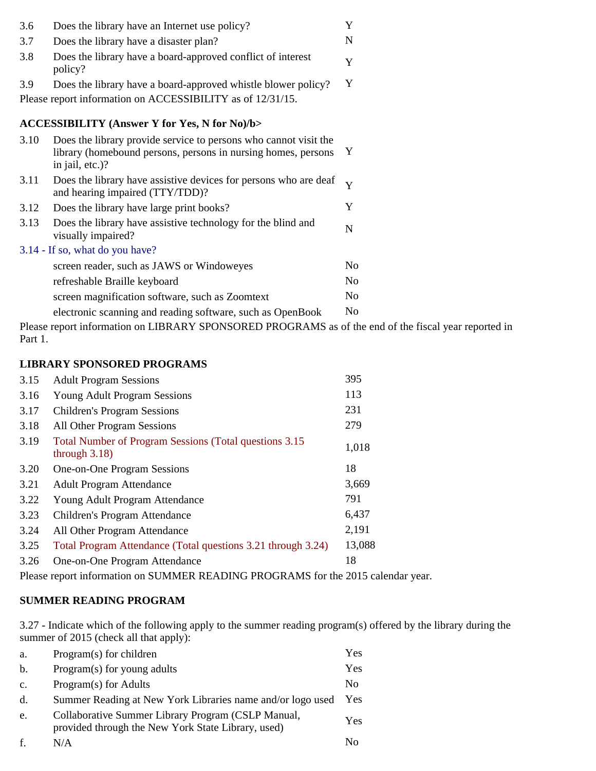| 3.6  | Does the library have an Internet use policy?                                                                                                        | Y              |
|------|------------------------------------------------------------------------------------------------------------------------------------------------------|----------------|
| 3.7  | Does the library have a disaster plan?                                                                                                               | N              |
| 3.8  | Does the library have a board-approved conflict of interest<br>policy?                                                                               | Y              |
| 3.9  | Does the library have a board-approved whistle blower policy?                                                                                        | Y              |
|      | Please report information on ACCESSIBILITY as of 12/31/15.                                                                                           |                |
|      | <b>ACCESSIBILITY (Answer Y for Yes, N for No)/b&gt;</b>                                                                                              |                |
| 3.10 | Does the library provide service to persons who cannot visit the<br>library (homebound persons, persons in nursing homes, persons<br>in jail, etc.)? | Y              |
| 3.11 | Does the library have assistive devices for persons who are deaf<br>and hearing impaired (TTY/TDD)?                                                  | Y              |
| 3.12 | Does the library have large print books?                                                                                                             | Y              |
| 3.13 | Does the library have assistive technology for the blind and<br>visually impaired?                                                                   | N              |
|      | 3.14 - If so, what do you have?                                                                                                                      |                |
|      | screen reader, such as JAWS or Windoweyes                                                                                                            | N <sub>o</sub> |
|      | refreshable Braille keyboard                                                                                                                         | N <sub>o</sub> |
|      | screen magnification software, such as Zoomtext                                                                                                      | N <sub>o</sub> |
|      | electronic scanning and reading software, such as OpenBook                                                                                           | No             |

Please report information on LIBRARY SPONSORED PROGRAMS as of the end of the fiscal year reported in Part 1.

### **LIBRARY SPONSORED PROGRAMS**

Please report information on SUMMER READING PROGRAMS for the 2015 calendar year.

#### **SUMMER READING PROGRAM**

3.27 - Indicate which of the following apply to the summer reading program(s) offered by the library during the summer of 2015 (check all that apply):

| a.             | Program(s) for children                                                                                  | Yes |
|----------------|----------------------------------------------------------------------------------------------------------|-----|
| b.             | Program(s) for young adults                                                                              | Yes |
| $\mathbf{c}$ . | Program(s) for Adults                                                                                    | No  |
| d.             | Summer Reading at New York Libraries name and/or logo used                                               | Yes |
| e.             | Collaborative Summer Library Program (CSLP Manual,<br>provided through the New York State Library, used) | Yes |
| f.             | N/A                                                                                                      | No  |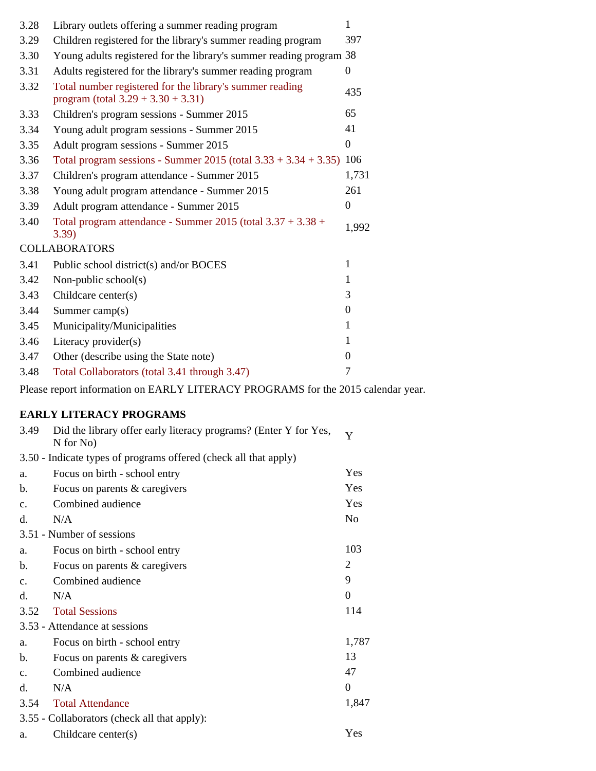| 3.28 | Library outlets offering a summer reading program                                                 | 1                |
|------|---------------------------------------------------------------------------------------------------|------------------|
| 3.29 | Children registered for the library's summer reading program                                      | 397              |
| 3.30 | Young adults registered for the library's summer reading program 38                               |                  |
| 3.31 | Adults registered for the library's summer reading program                                        | $\Omega$         |
| 3.32 | Total number registered for the library's summer reading<br>program (total $3.29 + 3.30 + 3.31$ ) | 435              |
| 3.33 | Children's program sessions - Summer 2015                                                         | 65               |
| 3.34 | Young adult program sessions - Summer 2015                                                        | 41               |
| 3.35 | Adult program sessions - Summer 2015                                                              | $\boldsymbol{0}$ |
| 3.36 | Total program sessions - Summer 2015 (total 3.33 + 3.34 + 3.35) 106                               |                  |
| 3.37 | Children's program attendance - Summer 2015                                                       | 1,731            |
| 3.38 | Young adult program attendance - Summer 2015                                                      | 261              |
| 3.39 | Adult program attendance - Summer 2015                                                            | $\boldsymbol{0}$ |
| 3.40 | Total program attendance - Summer 2015 (total $3.37 + 3.38 +$<br>3.39)                            | 1,992            |
|      | <b>COLLABORATORS</b>                                                                              |                  |
| 3.41 | Public school district(s) and/or BOCES                                                            | 1                |
| 3.42 | Non-public school $(s)$                                                                           |                  |
| 3.43 | Childcare center $(s)$                                                                            | 3                |
| 3.44 | Summer camp $(s)$                                                                                 | $\overline{0}$   |
| 3.45 | Municipality/Municipalities                                                                       |                  |
| 3.46 | Literacy provider(s)                                                                              |                  |
| 3.47 | Other (describe using the State note)                                                             | $\mathbf{0}$     |
| 3.48 | Total Collaborators (total 3.41 through 3.47)                                                     | 7                |

Please report information on EARLY LITERACY PROGRAMS for the 2015 calendar year.

# **EARLY LITERACY PROGRAMS**

| 3.49           | Did the library offer early literacy programs? (Enter Y for Yes,<br>$N$ for $No)$ | Y              |
|----------------|-----------------------------------------------------------------------------------|----------------|
|                | 3.50 - Indicate types of programs offered (check all that apply)                  |                |
| a.             | Focus on birth - school entry                                                     | Yes            |
| b.             | Focus on parents & caregivers                                                     | Yes            |
| $C_{\bullet}$  | Combined audience                                                                 | Yes            |
| d.             | N/A                                                                               | N <sub>o</sub> |
|                | 3.51 - Number of sessions                                                         |                |
| a.             | Focus on birth - school entry                                                     | 103            |
| b.             | Focus on parents & caregivers                                                     | $\overline{2}$ |
| $C_{\bullet}$  | Combined audience                                                                 | 9              |
| d.             | N/A                                                                               | $\mathbf{0}$   |
| 3.52           | <b>Total Sessions</b>                                                             | 114            |
|                | 3.53 - Attendance at sessions                                                     |                |
| a.             | Focus on birth - school entry                                                     | 1,787          |
| b.             | Focus on parents & caregivers                                                     | 13             |
| $\mathbf{c}$ . | Combined audience                                                                 | 47             |
| d.             | N/A                                                                               | $\mathbf{0}$   |
| 3.54           | <b>Total Attendance</b>                                                           | 1,847          |
|                | 3.55 - Collaborators (check all that apply):                                      |                |
| a.             | Childcare center(s)                                                               | Yes            |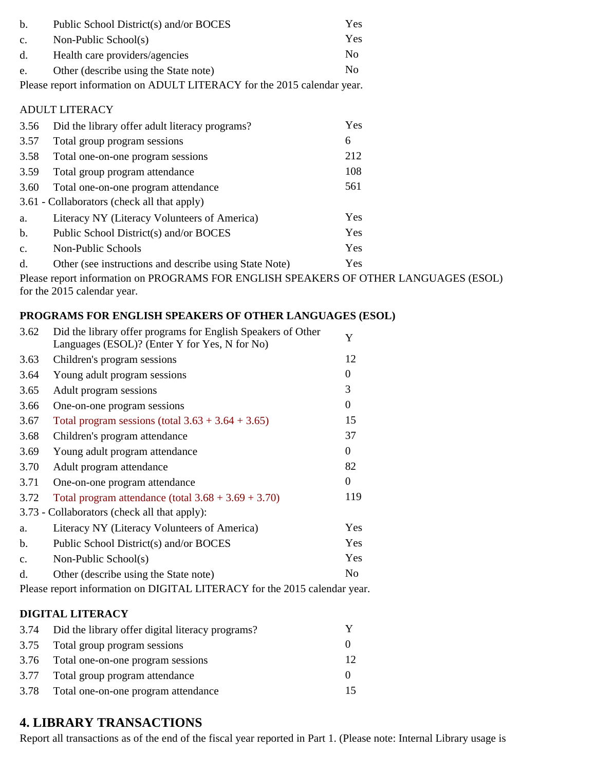| b.             | Public School District(s) and/or BOCES                                  | Yes |
|----------------|-------------------------------------------------------------------------|-----|
| $\mathbf{c}$ . | Non-Public School(s)                                                    | Yes |
| d.             | Health care providers/agencies                                          | No  |
| e.             | Other (describe using the State note)                                   | No  |
|                | Please report information on ADULT LITERACY for the 2015 calendar year. |     |
|                | <b>ADULT LITERACY</b>                                                   |     |
| 3.56           | Did the library offer adult literacy programs?                          | Yes |
| 3.57           | Total group program sessions                                            | 6   |
| 3.58           | Total one-on-one program sessions                                       | 212 |
| 3.59           | Total group program attendance                                          | 108 |
| 3.60           | Total one-on-one program attendance                                     | 561 |
|                | 3.61 - Collaborators (check all that apply)                             |     |
| a.             | Literacy NY (Literacy Volunteers of America)                            | Yes |
| b.             | Public School District(s) and/or BOCES                                  | Yes |

c. Non-Public Schools Yes d. Other (see instructions and describe using State Note) Yes

Please report information on PROGRAMS FOR ENGLISH SPEAKERS OF OTHER LANGUAGES (ESOL) for the 2015 calendar year.

### **PROGRAMS FOR ENGLISH SPEAKERS OF OTHER LANGUAGES (ESOL)**

| 3.62                                                                      | Did the library offer programs for English Speakers of Other<br>Languages (ESOL)? (Enter Y for Yes, N for No) | Y              |
|---------------------------------------------------------------------------|---------------------------------------------------------------------------------------------------------------|----------------|
| 3.63                                                                      | Children's program sessions                                                                                   | 12             |
| 3.64                                                                      | Young adult program sessions                                                                                  | 0              |
| 3.65                                                                      | Adult program sessions                                                                                        | 3              |
| 3.66                                                                      | One-on-one program sessions                                                                                   | 0              |
| 3.67                                                                      | Total program sessions (total $3.63 + 3.64 + 3.65$ )                                                          | 15             |
| 3.68                                                                      | Children's program attendance                                                                                 | 37             |
| 3.69                                                                      | Young adult program attendance                                                                                | 0              |
| 3.70                                                                      | Adult program attendance                                                                                      | 82             |
| 3.71                                                                      | One-on-one program attendance                                                                                 | 0              |
| 3.72                                                                      | Total program attendance (total $3.68 + 3.69 + 3.70$ )                                                        | 119            |
|                                                                           | 3.73 - Collaborators (check all that apply):                                                                  |                |
| a.                                                                        | Literacy NY (Literacy Volunteers of America)                                                                  | Yes            |
| b.                                                                        | Public School District(s) and/or BOCES                                                                        | Yes            |
| $\mathbf{c}$ .                                                            | Non-Public School(s)                                                                                          | Yes            |
| $d$ .                                                                     | Other (describe using the State note)                                                                         | N <sub>0</sub> |
| Please report information on DIGITAL LITERACY for the 2015 calendar year. |                                                                                                               |                |

### **DIGITAL LITERACY**

| 3.74 Did the library offer digital literacy programs? |    |
|-------------------------------------------------------|----|
| 3.75 Total group program sessions                     |    |
| 3.76 Total one-on-one program sessions                | 12 |
| 3.77 Total group program attendance                   |    |
| 3.78 Total one-on-one program attendance              |    |

## **4. LIBRARY TRANSACTIONS**

Report all transactions as of the end of the fiscal year reported in Part 1. (Please note: Internal Library usage is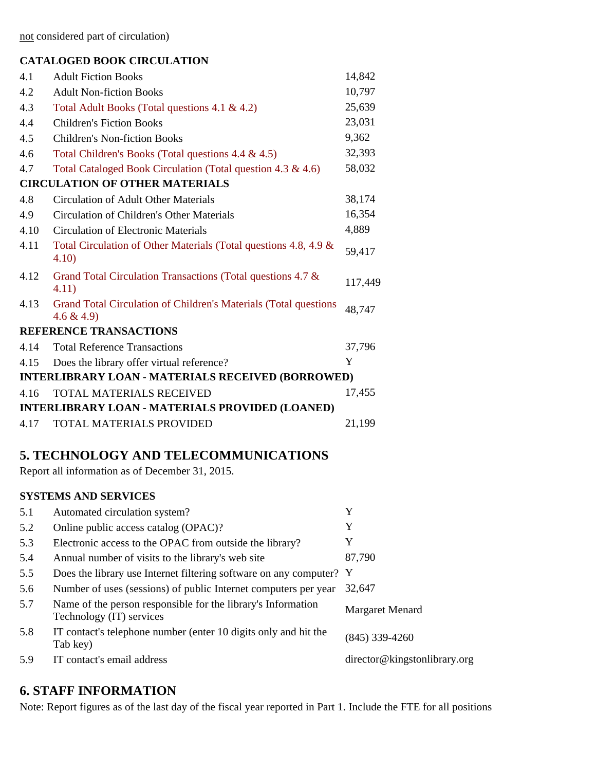not considered part of circulation)

### **CATALOGED BOOK CIRCULATION**

| 4.1                                                      | <b>Adult Fiction Books</b>                                                       | 14,842  |
|----------------------------------------------------------|----------------------------------------------------------------------------------|---------|
| 4.2                                                      | <b>Adult Non-fiction Books</b>                                                   | 10,797  |
| 4.3                                                      | Total Adult Books (Total questions 4.1 & 4.2)                                    | 25,639  |
| 4.4                                                      | <b>Children's Fiction Books</b>                                                  | 23,031  |
| 4.5                                                      | <b>Children's Non-fiction Books</b>                                              | 9,362   |
| 4.6                                                      | Total Children's Books (Total questions 4.4 & 4.5)                               | 32,393  |
| 4.7                                                      | Total Cataloged Book Circulation (Total question 4.3 & 4.6)                      | 58,032  |
|                                                          | <b>CIRCULATION OF OTHER MATERIALS</b>                                            |         |
| 4.8                                                      | <b>Circulation of Adult Other Materials</b>                                      | 38,174  |
| 4.9                                                      | Circulation of Children's Other Materials                                        | 16,354  |
| 4.10                                                     | <b>Circulation of Electronic Materials</b>                                       | 4,889   |
| 4.11                                                     | Total Circulation of Other Materials (Total questions 4.8, 4.9 &<br>4.10)        | 59,417  |
| 4.12                                                     | Grand Total Circulation Transactions (Total questions 4.7 &<br>4.11)             | 117,449 |
| 4.13                                                     | Grand Total Circulation of Children's Materials (Total questions<br>$4.6 \& 4.9$ | 48,747  |
|                                                          | <b>REFERENCE TRANSACTIONS</b>                                                    |         |
| 4.14                                                     | <b>Total Reference Transactions</b>                                              | 37,796  |
| 4.15                                                     | Does the library offer virtual reference?                                        | Y       |
| <b>INTERLIBRARY LOAN - MATERIALS RECEIVED (BORROWED)</b> |                                                                                  |         |
| 4.16                                                     | TOTAL MATERIALS RECEIVED                                                         | 17,455  |
| <b>INTERLIBRARY LOAN - MATERIALS PROVIDED (LOANED)</b>   |                                                                                  |         |
| 4.17                                                     | <b>TOTAL MATERIALS PROVIDED</b>                                                  | 21,199  |

# **5. TECHNOLOGY AND TELECOMMUNICATIONS**

Report all information as of December 31, 2015.

### **SYSTEMS AND SERVICES**

| 5.1 | Automated circulation system?                                                            | Y                            |
|-----|------------------------------------------------------------------------------------------|------------------------------|
| 5.2 | Online public access catalog (OPAC)?                                                     | Y                            |
| 5.3 | Electronic access to the OPAC from outside the library?                                  | Y                            |
| 5.4 | Annual number of visits to the library's web site                                        | 87,790                       |
| 5.5 | Does the library use Internet filtering software on any computer? Y                      |                              |
| 5.6 | Number of uses (sessions) of public Internet computers per year                          | 32,647                       |
| 5.7 | Name of the person responsible for the library's Information<br>Technology (IT) services | Margaret Menard              |
| 5.8 | IT contact's telephone number (enter 10 digits only and hit the<br>Tab key)              | $(845)$ 339-4260             |
| 5.9 | IT contact's email address                                                               | director@kingstonlibrary.org |

## **6. STAFF INFORMATION**

Note: Report figures as of the last day of the fiscal year reported in Part 1. Include the FTE for all positions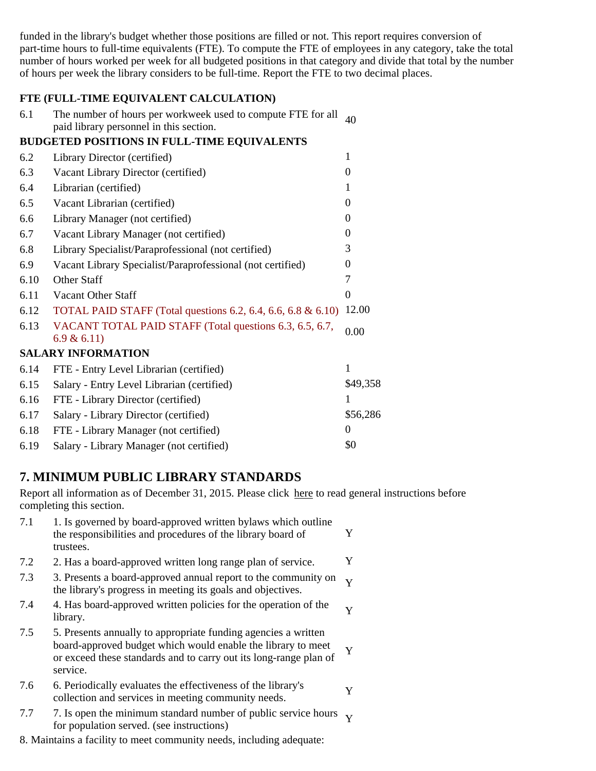funded in the library's budget whether those positions are filled or not. This report requires conversion of part-time hours to full-time equivalents (FTE). To compute the FTE of employees in any category, take the total number of hours worked per week for all budgeted positions in that category and divide that total by the number of hours per week the library considers to be full-time. Report the FTE to two decimal places.

### **FTE (FULL-TIME EQUIVALENT CALCULATION)**

| The number of hours per workweek used to compute FTE for all $_{40}$ |  |
|----------------------------------------------------------------------|--|
| paid library personnel in this section.                              |  |

### **BUDGETED POSITIONS IN FULL-TIME EQUIVALENTS**

| 6.2  | Library Director (certified)                                          |          |
|------|-----------------------------------------------------------------------|----------|
| 6.3  | Vacant Library Director (certified)                                   | 0        |
| 6.4  | Librarian (certified)                                                 |          |
| 6.5  | Vacant Librarian (certified)                                          | $\Omega$ |
| 6.6  | Library Manager (not certified)                                       | $\Omega$ |
| 6.7  | Vacant Library Manager (not certified)                                | 0        |
| 6.8  | Library Specialist/Paraprofessional (not certified)                   | 3        |
| 6.9  | Vacant Library Specialist/Paraprofessional (not certified)            | 0        |
| 6.10 | Other Staff                                                           |          |
| 6.11 | Vacant Other Staff                                                    | $\Omega$ |
| 6.12 | TOTAL PAID STAFF (Total questions 6.2, 6.4, 6.6, 6.8 & 6.10)          | 12.00    |
| 6.13 | VACANT TOTAL PAID STAFF (Total questions 6.3, 6.5, 6.7,<br>6.9 & 6.11 | 0.00     |
|      | <b>SALARY INFORMATION</b>                                             |          |
| 6.14 | FTE - Entry Level Librarian (certified)                               | 1        |
| 6.15 | Salary - Entry Level Librarian (certified)                            | \$49,358 |
| 6.16 | FTE - Library Director (certified)                                    |          |
| 6.17 | Salary - Library Director (certified)                                 | \$56,286 |
| 6.18 | FTE - Library Manager (not certified)                                 | $\theta$ |
| 6.19 | Salary - Library Manager (not certified)                              | \$0      |

## **7. MINIMUM PUBLIC LIBRARY STANDARDS**

Report all information as of December 31, 2015. Please click here to read general instructions before completing this section.

| 7.1 | 1. Is governed by board-approved written bylaws which outline<br>the responsibilities and procedures of the library board of<br>trustees.                                                                       | Y                       |
|-----|-----------------------------------------------------------------------------------------------------------------------------------------------------------------------------------------------------------------|-------------------------|
| 7.2 | 2. Has a board-approved written long range plan of service.                                                                                                                                                     | Y                       |
| 7.3 | 3. Presents a board-approved annual report to the community on<br>the library's progress in meeting its goals and objectives.                                                                                   | $\overline{\mathbf{v}}$ |
| 7.4 | 4. Has board-approved written policies for the operation of the<br>library.                                                                                                                                     | Y                       |
| 7.5 | 5. Presents annually to appropriate funding agencies a written<br>board-approved budget which would enable the library to meet<br>or exceed these standards and to carry out its long-range plan of<br>service. | Y                       |
| 7.6 | 6. Periodically evaluates the effectiveness of the library's<br>collection and services in meeting community needs.                                                                                             | Y                       |
| 7.7 | 7. Is open the minimum standard number of public service hours<br>for population served. (see instructions)                                                                                                     |                         |

8. Maintains a facility to meet community needs, including adequate: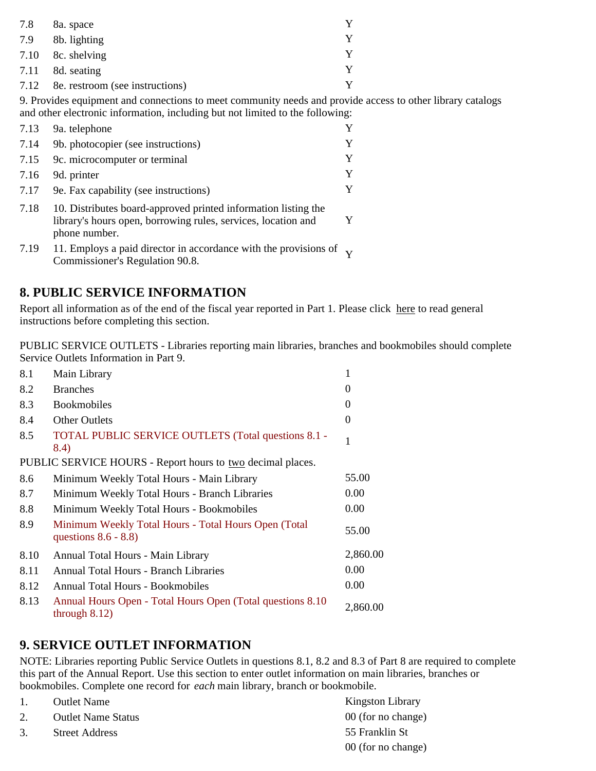| 7.8  | 8a. space                       |   |
|------|---------------------------------|---|
| 7.9  | 8b. lighting                    |   |
|      | $7.10\quad$ 8c. shelving        |   |
|      | $7.11$ 8d. seating              |   |
| 7.12 | 8e. restroom (see instructions) | v |

9. Provides equipment and connections to meet community needs and provide access to other library catalogs and other electronic information, including but not limited to the following:

| 7.13 | 9a. telephone                                                                                                                                    | Y |
|------|--------------------------------------------------------------------------------------------------------------------------------------------------|---|
| 7.14 | 9b. photocopier (see instructions)                                                                                                               | Y |
| 7.15 | 9c. microcomputer or terminal                                                                                                                    | V |
| 7.16 | 9d. printer                                                                                                                                      | V |
| 7.17 | 9e. Fax capability (see instructions)                                                                                                            |   |
| 7.18 | 10. Distributes board-approved printed information listing the<br>library's hours open, borrowing rules, services, location and<br>phone number. |   |

7.19 11. Employs a paid director in accordance with the provisions of Y Commissioner's Regulation 90.8.

## **8. PUBLIC SERVICE INFORMATION**

Report all information as of the end of the fiscal year reported in Part 1. Please click here to read general instructions before completing this section.

PUBLIC SERVICE OUTLETS - Libraries reporting main libraries, branches and bookmobiles should complete Service Outlets Information in Part 9.

| 8.1  | Main Library                                                                    |          |
|------|---------------------------------------------------------------------------------|----------|
| 8.2  | <b>Branches</b>                                                                 | $\theta$ |
| 8.3  | <b>Bookmobiles</b>                                                              | $\theta$ |
| 8.4  | <b>Other Outlets</b>                                                            | $\theta$ |
| 8.5  | TOTAL PUBLIC SERVICE OUTLETS (Total questions 8.1 -<br>8.4)                     |          |
|      | PUBLIC SERVICE HOURS - Report hours to two decimal places.                      |          |
| 8.6  | Minimum Weekly Total Hours - Main Library                                       | 55.00    |
| 8.7  | Minimum Weekly Total Hours - Branch Libraries                                   | 0.00     |
| 8.8  | Minimum Weekly Total Hours - Bookmobiles                                        | 0.00     |
| 8.9  | Minimum Weekly Total Hours - Total Hours Open (Total<br>questions $8.6 - 8.8$ ) | 55.00    |
| 8.10 | Annual Total Hours - Main Library                                               | 2,860.00 |
| 8.11 | <b>Annual Total Hours - Branch Libraries</b>                                    | 0.00     |
| 8.12 | Annual Total Hours - Bookmobiles                                                | 0.00     |
| 8.13 | Annual Hours Open - Total Hours Open (Total questions 8.10)<br>through $8.12$ ) | 2,860.00 |

## **9. SERVICE OUTLET INFORMATION**

NOTE: Libraries reporting Public Service Outlets in questions 8.1, 8.2 and 8.3 of Part 8 are required to complete this part of the Annual Report. Use this section to enter outlet information on main libraries, branches or bookmobiles. Complete one record for *each* main library, branch or bookmobile.

- 1. Outlet Name Kingston Library
- 2. Outlet Name Status 00 (for no change)
- 3. Street Address 55 Franklin St

00 (for no change)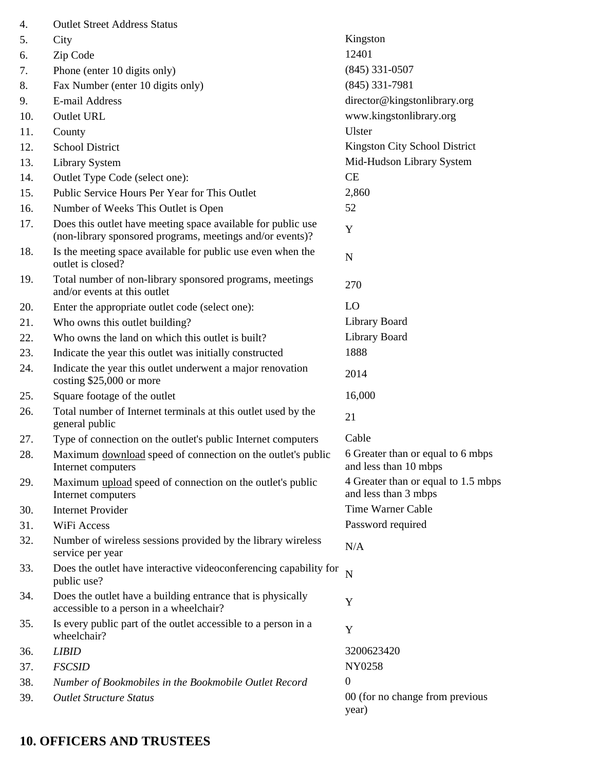| 4.  | <b>Outlet Street Address Status</b>                                                                                       |                                                             |
|-----|---------------------------------------------------------------------------------------------------------------------------|-------------------------------------------------------------|
| 5.  | City                                                                                                                      | Kingston                                                    |
| 6.  | Zip Code                                                                                                                  | 12401                                                       |
| 7.  | Phone (enter 10 digits only)                                                                                              | $(845)$ 331-0507                                            |
| 8.  | Fax Number (enter 10 digits only)                                                                                         | $(845)$ 331-7981                                            |
| 9.  | E-mail Address                                                                                                            | director@kingstonlibrary.org                                |
| 10. | Outlet URL                                                                                                                | www.kingstonlibrary.org                                     |
| 11. | County                                                                                                                    | Ulster                                                      |
| 12. | <b>School District</b>                                                                                                    | Kingston City School District                               |
| 13. | <b>Library System</b>                                                                                                     | Mid-Hudson Library System                                   |
| 14. | Outlet Type Code (select one):                                                                                            | CE                                                          |
| 15. | Public Service Hours Per Year for This Outlet                                                                             | 2,860                                                       |
| 16. | Number of Weeks This Outlet is Open                                                                                       | 52                                                          |
| 17. | Does this outlet have meeting space available for public use<br>(non-library sponsored programs, meetings and/or events)? | Y                                                           |
| 18. | Is the meeting space available for public use even when the<br>outlet is closed?                                          | ${\bf N}$                                                   |
| 19. | Total number of non-library sponsored programs, meetings<br>and/or events at this outlet                                  | 270                                                         |
| 20. | Enter the appropriate outlet code (select one):                                                                           | LO                                                          |
| 21. | Who owns this outlet building?                                                                                            | Library Board                                               |
| 22. | Who owns the land on which this outlet is built?                                                                          | Library Board                                               |
| 23. | Indicate the year this outlet was initially constructed                                                                   | 1888                                                        |
| 24. | Indicate the year this outlet underwent a major renovation<br>costing \$25,000 or more                                    | 2014                                                        |
| 25. | Square footage of the outlet                                                                                              | 16,000                                                      |
| 26. | Total number of Internet terminals at this outlet used by the<br>general public                                           | 21                                                          |
| 27. | Type of connection on the outlet's public Internet computers                                                              | Cable                                                       |
| 28. | Maximum download speed of connection on the outlet's public<br>Internet computers                                         | 6 Greater than or equal to 6 mbps<br>and less than 10 mbps  |
| 29. | Maximum upload speed of connection on the outlet's public<br>Internet computers                                           | 4 Greater than or equal to 1.5 mbps<br>and less than 3 mbps |
| 30. | <b>Internet Provider</b>                                                                                                  | Time Warner Cable                                           |
| 31. | WiFi Access                                                                                                               | Password required                                           |
| 32. | Number of wireless sessions provided by the library wireless<br>service per year                                          | N/A                                                         |
| 33. | Does the outlet have interactive videoconferencing capability for<br>public use?                                          | $\overline{N}$                                              |
| 34. | Does the outlet have a building entrance that is physically<br>accessible to a person in a wheelchair?                    | Y                                                           |
| 35. | Is every public part of the outlet accessible to a person in a<br>wheelchair?                                             | Y                                                           |
| 36. | <b>LIBID</b>                                                                                                              | 3200623420                                                  |
| 37. | <b>FSCSID</b>                                                                                                             | NY0258                                                      |
| 38. | Number of Bookmobiles in the Bookmobile Outlet Record                                                                     | $\boldsymbol{0}$                                            |
| 39. | <b>Outlet Structure Status</b>                                                                                            | 00 (for no change from previous<br>year)                    |

# **10. OFFICERS AND TRUSTEES**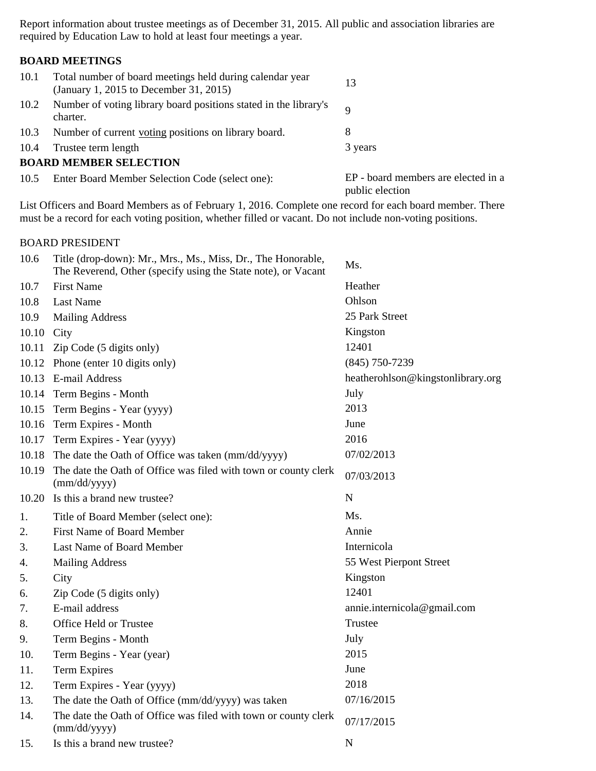Report information about trustee meetings as of December 31, 2015. All public and association libraries are required by Education Law to hold at least four meetings a year.

### **BOARD MEETINGS**

| 10.1 | Total number of board meetings held during calendar year<br>(January 1, 2015 to December 31, 2015) | 13                                                     |
|------|----------------------------------------------------------------------------------------------------|--------------------------------------------------------|
| 10.2 | Number of voting library board positions stated in the library's<br>charter.                       | $\mathbf Q$                                            |
| 10.3 | Number of current voting positions on library board.                                               | 8                                                      |
| 10.4 | Trustee term length                                                                                | 3 years                                                |
|      | <b>BOARD MEMBER SELECTION</b>                                                                      |                                                        |
|      | 10.5 Enter Board Member Selection Code (select one):                                               | EP - board members are elected in a<br>public election |

List Officers and Board Members as of February 1, 2016. Complete one record for each board member. There must be a record for each voting position, whether filled or vacant. Do not include non-voting positions.

#### BOARD PRESIDENT

| 10.6       | Title (drop-down): Mr., Mrs., Ms., Miss, Dr., The Honorable,<br>The Reverend, Other (specify using the State note), or Vacant | Ms.                               |
|------------|-------------------------------------------------------------------------------------------------------------------------------|-----------------------------------|
| 10.7       | <b>First Name</b>                                                                                                             | Heather                           |
| 10.8       | <b>Last Name</b>                                                                                                              | Ohlson                            |
| 10.9       | <b>Mailing Address</b>                                                                                                        | 25 Park Street                    |
| 10.10 City |                                                                                                                               | Kingston                          |
| 10.11      | Zip Code (5 digits only)                                                                                                      | 12401                             |
|            | 10.12 Phone (enter 10 digits only)                                                                                            | $(845)$ 750-7239                  |
|            | 10.13 E-mail Address                                                                                                          | heatherohlson@kingstonlibrary.org |
|            | 10.14 Term Begins - Month                                                                                                     | July                              |
| 10.15      | Term Begins - Year (yyyy)                                                                                                     | 2013                              |
|            | 10.16 Term Expires - Month                                                                                                    | June                              |
| 10.17      | Term Expires - Year (yyyy)                                                                                                    | 2016                              |
| 10.18      | The date the Oath of Office was taken (mm/dd/yyyy)                                                                            | 07/02/2013                        |
| 10.19      | The date the Oath of Office was filed with town or county clerk<br>(mm/dd/yyyy)                                               | 07/03/2013                        |
|            | 10.20 Is this a brand new trustee?                                                                                            | N                                 |
| 1.         | Title of Board Member (select one):                                                                                           | Ms.                               |
| 2.         | First Name of Board Member                                                                                                    | Annie                             |
| 3.         | Last Name of Board Member                                                                                                     | Internicola                       |
| 4.         | <b>Mailing Address</b>                                                                                                        | 55 West Pierpont Street           |
| 5.         | City                                                                                                                          | Kingston                          |
| 6.         | Zip Code (5 digits only)                                                                                                      | 12401                             |
| 7.         | E-mail address                                                                                                                | annie.internicola@gmail.com       |
| 8.         | Office Held or Trustee                                                                                                        | Trustee                           |
| 9.         | Term Begins - Month                                                                                                           | July                              |
| 10.        | Term Begins - Year (year)                                                                                                     | 2015                              |
| 11.        | <b>Term Expires</b>                                                                                                           | June                              |
| 12.        | Term Expires - Year (yyyy)                                                                                                    | 2018                              |
| 13.        | The date the Oath of Office (mm/dd/yyyy) was taken                                                                            | 07/16/2015                        |
| 14.        | The date the Oath of Office was filed with town or county clerk<br>(mm/dd/yyyy)                                               | 07/17/2015                        |
| 15.        | Is this a brand new trustee?                                                                                                  | $\overline{N}$                    |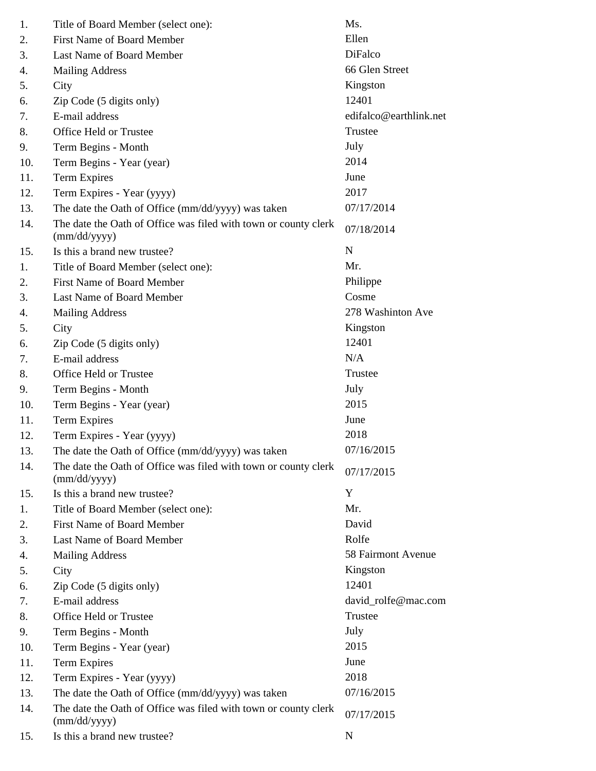| 1.  | Title of Board Member (select one):                                             | Ms.                    |
|-----|---------------------------------------------------------------------------------|------------------------|
| 2.  | <b>First Name of Board Member</b>                                               | Ellen                  |
| 3.  | Last Name of Board Member                                                       | <b>DiFalco</b>         |
| 4.  | <b>Mailing Address</b>                                                          | 66 Glen Street         |
| 5.  | City                                                                            | Kingston               |
| 6.  | Zip Code (5 digits only)                                                        | 12401                  |
| 7.  | E-mail address                                                                  | edifalco@earthlink.net |
| 8.  | Office Held or Trustee                                                          | Trustee                |
| 9.  | Term Begins - Month                                                             | July                   |
| 10. | Term Begins - Year (year)                                                       | 2014                   |
| 11. | <b>Term Expires</b>                                                             | June                   |
| 12. | Term Expires - Year (yyyy)                                                      | 2017                   |
| 13. | The date the Oath of Office (mm/dd/yyyy) was taken                              | 07/17/2014             |
| 14. | The date the Oath of Office was filed with town or county clerk<br>(mm/dd/yyyy) | 07/18/2014             |
| 15. | Is this a brand new trustee?                                                    | N                      |
| 1.  | Title of Board Member (select one):                                             | Mr.                    |
| 2.  | First Name of Board Member                                                      | Philippe               |
| 3.  | Last Name of Board Member                                                       | Cosme                  |
| 4.  | <b>Mailing Address</b>                                                          | 278 Washinton Ave      |
| 5.  | City                                                                            | Kingston               |
| 6.  | Zip Code (5 digits only)                                                        | 12401                  |
| 7.  | E-mail address                                                                  | N/A                    |
| 8.  | Office Held or Trustee                                                          | Trustee                |
| 9.  | Term Begins - Month                                                             | July                   |
| 10. | Term Begins - Year (year)                                                       | 2015                   |
| 11. | <b>Term Expires</b>                                                             | June                   |
| 12. | Term Expires - Year (yyyy)                                                      | 2018                   |
| 13. | The date the Oath of Office (mm/dd/yyyy) was taken                              | 07/16/2015             |
| 14. | The date the Oath of Office was filed with town or county clerk<br>(mm/dd/yyyy) | 07/17/2015             |
| 15. | Is this a brand new trustee?                                                    | Y                      |
| 1.  | Title of Board Member (select one):                                             | Mr.                    |
| 2.  | <b>First Name of Board Member</b>                                               | David                  |
| 3.  | Last Name of Board Member                                                       | Rolfe                  |
| 4.  | <b>Mailing Address</b>                                                          | 58 Fairmont Avenue     |
| 5.  | City                                                                            | Kingston               |
| 6.  | Zip Code (5 digits only)                                                        | 12401                  |
| 7.  | E-mail address                                                                  | david_rolfe@mac.com    |
| 8.  | Office Held or Trustee                                                          | Trustee                |
| 9.  | Term Begins - Month                                                             | July                   |
| 10. | Term Begins - Year (year)                                                       | 2015                   |
| 11. | <b>Term Expires</b>                                                             | June                   |
| 12. | Term Expires - Year (yyyy)                                                      | 2018                   |
| 13. | The date the Oath of Office (mm/dd/yyyy) was taken                              | 07/16/2015             |
| 14. | The date the Oath of Office was filed with town or county clerk<br>(mm/dd/yyyy) | 07/17/2015             |
| 15. | Is this a brand new trustee?                                                    | N                      |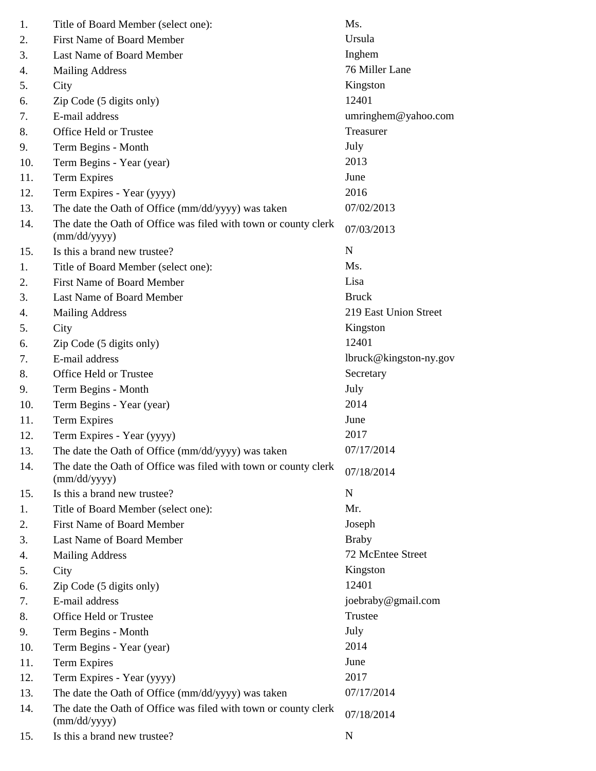| 1.  | Title of Board Member (select one):                                             | Ms.                    |
|-----|---------------------------------------------------------------------------------|------------------------|
| 2.  | <b>First Name of Board Member</b>                                               | Ursula                 |
| 3.  | Last Name of Board Member                                                       | Inghem                 |
| 4.  | <b>Mailing Address</b>                                                          | 76 Miller Lane         |
| 5.  | City                                                                            | Kingston               |
| 6.  | Zip Code (5 digits only)                                                        | 12401                  |
| 7.  | E-mail address                                                                  | umringhem@yahoo.com    |
| 8.  | Office Held or Trustee                                                          | Treasurer              |
| 9.  | Term Begins - Month                                                             | July                   |
| 10. | Term Begins - Year (year)                                                       | 2013                   |
| 11. | <b>Term Expires</b>                                                             | June                   |
| 12. | Term Expires - Year (yyyy)                                                      | 2016                   |
| 13. | The date the Oath of Office (mm/dd/yyyy) was taken                              | 07/02/2013             |
| 14. | The date the Oath of Office was filed with town or county clerk<br>(mm/dd/yyyy) | 07/03/2013             |
| 15. | Is this a brand new trustee?                                                    | N                      |
| 1.  | Title of Board Member (select one):                                             | Ms.                    |
| 2.  | First Name of Board Member                                                      | Lisa                   |
| 3.  | Last Name of Board Member                                                       | <b>Bruck</b>           |
| 4.  | <b>Mailing Address</b>                                                          | 219 East Union Street  |
| 5.  | City                                                                            | Kingston               |
| 6.  | Zip Code (5 digits only)                                                        | 12401                  |
| 7.  | E-mail address                                                                  | lbruck@kingston-ny.gov |
| 8.  | Office Held or Trustee                                                          | Secretary              |
| 9.  | Term Begins - Month                                                             | July                   |
| 10. | Term Begins - Year (year)                                                       | 2014                   |
| 11. | <b>Term Expires</b>                                                             | June                   |
| 12. | Term Expires - Year (yyyy)                                                      | 2017                   |
| 13. | The date the Oath of Office (mm/dd/yyyy) was taken                              | 07/17/2014             |
| 14. | The date the Oath of Office was filed with town or county clerk<br>(mm/dd/yyyy) | 07/18/2014             |
| 15. | Is this a brand new trustee?                                                    | $\mathbf N$            |
| 1.  | Title of Board Member (select one):                                             | Mr.                    |
| 2.  | <b>First Name of Board Member</b>                                               | Joseph                 |
| 3.  | Last Name of Board Member                                                       | <b>Braby</b>           |
| 4.  | <b>Mailing Address</b>                                                          | 72 McEntee Street      |
| 5.  | City                                                                            | Kingston               |
| 6.  | Zip Code (5 digits only)                                                        | 12401                  |
| 7.  | E-mail address                                                                  | joebraby@gmail.com     |
| 8.  | Office Held or Trustee                                                          | Trustee                |
| 9.  | Term Begins - Month                                                             | July                   |
| 10. | Term Begins - Year (year)                                                       | 2014                   |
| 11. | <b>Term Expires</b>                                                             | June                   |
| 12. | Term Expires - Year (yyyy)                                                      | 2017                   |
| 13. | The date the Oath of Office (mm/dd/yyyy) was taken                              | 07/17/2014             |
| 14. | The date the Oath of Office was filed with town or county clerk<br>(mm/dd/yyyy) | 07/18/2014             |
| 15. | Is this a brand new trustee?                                                    | N                      |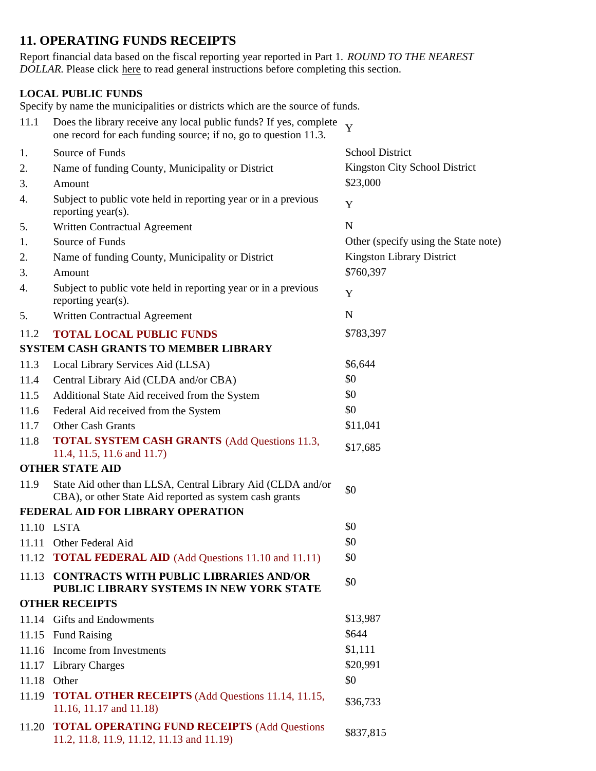# **11. OPERATING FUNDS RECEIPTS**

Report financial data based on the fiscal reporting year reported in Part 1. *ROUND TO THE NEAREST DOLLAR.* Please click here to read general instructions before completing this section.

### **LOCAL PUBLIC FUNDS**

Specify by name the municipalities or districts which are the source of funds.

| 11.1  | Does the library receive any local public funds? If yes, complete<br>one record for each funding source; if no, go to question 11.3. | Y                                    |
|-------|--------------------------------------------------------------------------------------------------------------------------------------|--------------------------------------|
| 1.    | Source of Funds                                                                                                                      | <b>School District</b>               |
| 2.    | Name of funding County, Municipality or District                                                                                     | Kingston City School District        |
| 3.    | Amount                                                                                                                               | \$23,000                             |
| 4.    | Subject to public vote held in reporting year or in a previous<br>reporting year(s).                                                 | Y                                    |
| 5.    | Written Contractual Agreement                                                                                                        | $\mathbf N$                          |
| 1.    | Source of Funds                                                                                                                      | Other (specify using the State note) |
| 2.    | Name of funding County, Municipality or District                                                                                     | <b>Kingston Library District</b>     |
| 3.    | Amount                                                                                                                               | \$760,397                            |
| 4.    | Subject to public vote held in reporting year or in a previous<br>reporting year(s).                                                 | Y                                    |
| 5.    | Written Contractual Agreement                                                                                                        | $\mathbf N$                          |
| 11.2  | <b>TOTAL LOCAL PUBLIC FUNDS</b>                                                                                                      | \$783,397                            |
|       | <b>SYSTEM CASH GRANTS TO MEMBER LIBRARY</b>                                                                                          |                                      |
| 11.3  | Local Library Services Aid (LLSA)                                                                                                    | \$6,644                              |
| 11.4  | Central Library Aid (CLDA and/or CBA)                                                                                                | \$0                                  |
| 11.5  | Additional State Aid received from the System                                                                                        | \$0                                  |
| 11.6  | Federal Aid received from the System                                                                                                 | \$0                                  |
| 11.7  | Other Cash Grants                                                                                                                    | \$11,041                             |
| 11.8  | <b>TOTAL SYSTEM CASH GRANTS</b> (Add Questions 11.3,<br>11.4, 11.5, 11.6 and 11.7)                                                   | \$17,685                             |
|       | <b>OTHER STATE AID</b>                                                                                                               |                                      |
| 11.9  | State Aid other than LLSA, Central Library Aid (CLDA and/or<br>CBA), or other State Aid reported as system cash grants               | \$0                                  |
|       | FEDERAL AID FOR LIBRARY OPERATION                                                                                                    |                                      |
|       | 11.10 LSTA                                                                                                                           | \$0                                  |
|       | 11.11 Other Federal Aid                                                                                                              | \$0                                  |
|       | 11.12 <b>TOTAL FEDERAL AID</b> (Add Questions 11.10 and 11.11)                                                                       | \$0                                  |
| 11.13 | <b>CONTRACTS WITH PUBLIC LIBRARIES AND/OR</b><br>PUBLIC LIBRARY SYSTEMS IN NEW YORK STATE                                            | \$0                                  |
|       | <b>OTHER RECEIPTS</b>                                                                                                                |                                      |
|       | 11.14 Gifts and Endowments                                                                                                           | \$13,987                             |
|       | 11.15 Fund Raising                                                                                                                   | \$644                                |
|       | 11.16 Income from Investments                                                                                                        | \$1,111                              |
|       | 11.17 Library Charges                                                                                                                | \$20,991                             |
| 11.18 | Other                                                                                                                                | \$0                                  |
|       | 11.19 TOTAL OTHER RECEIPTS (Add Questions 11.14, 11.15,<br>11.16, 11.17 and 11.18)                                                   | \$36,733                             |
| 11.20 | <b>TOTAL OPERATING FUND RECEIPTS (Add Questions</b><br>11.2, 11.8, 11.9, 11.12, 11.13 and 11.19)                                     | \$837,815                            |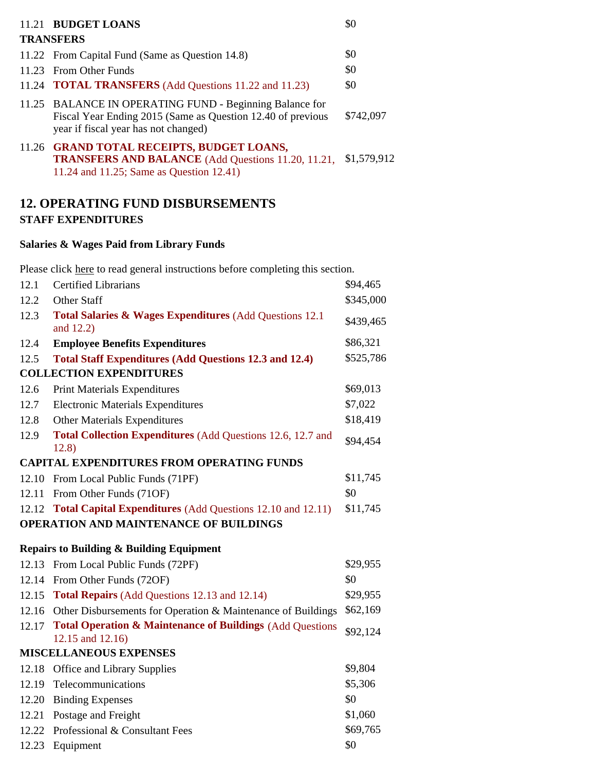| 11.21 BUDGET LOANS<br><b>TRANSFERS</b>                                                                                                                         | \$0         |
|----------------------------------------------------------------------------------------------------------------------------------------------------------------|-------------|
| 11.22 From Capital Fund (Same as Question 14.8)                                                                                                                | \$0         |
| 11.23 From Other Funds                                                                                                                                         | \$0         |
| 11.24 <b>TOTAL TRANSFERS</b> (Add Questions 11.22 and 11.23)                                                                                                   | \$0         |
| 11.25 BALANCE IN OPERATING FUND - Beginning Balance for<br>Fiscal Year Ending 2015 (Same as Question 12.40 of previous<br>year if fiscal year has not changed) | \$742,097   |
| 11.26 GRAND TOTAL RECEIPTS, BUDGET LOANS,<br><b>TRANSFERS AND BALANCE</b> (Add Questions 11.20, 11.21,<br>11.24 and 11.25; Same as Question 12.41)             | \$1,579,912 |

## **12. OPERATING FUND DISBURSEMENTS STAFF EXPENDITURES**

### **Salaries & Wages Paid from Library Funds**

Please click here to read general instructions before completing this section.

| 12.1  | <b>Certified Librarians</b>                                                         | \$94,465  |
|-------|-------------------------------------------------------------------------------------|-----------|
| 12.2  | Other Staff                                                                         | \$345,000 |
| 12.3  | Total Salaries & Wages Expenditures (Add Questions 12.1)<br>and 12.2)               | \$439,465 |
| 12.4  | <b>Employee Benefits Expenditures</b>                                               | \$86,321  |
| 12.5  | <b>Total Staff Expenditures (Add Questions 12.3 and 12.4)</b>                       | \$525,786 |
|       | <b>COLLECTION EXPENDITURES</b>                                                      |           |
| 12.6  | <b>Print Materials Expenditures</b>                                                 | \$69,013  |
| 12.7  | <b>Electronic Materials Expenditures</b>                                            | \$7,022   |
| 12.8  | <b>Other Materials Expenditures</b>                                                 | \$18,419  |
| 12.9  | Total Collection Expenditures (Add Questions 12.6, 12.7 and<br>12.8)                | \$94,454  |
|       | <b>CAPITAL EXPENDITURES FROM OPERATING FUNDS</b>                                    |           |
|       | 12.10 From Local Public Funds (71PF)                                                | \$11,745  |
|       | 12.11 From Other Funds (71OF)                                                       | \$0       |
|       | 12.12 Total Capital Expenditures (Add Questions 12.10 and 12.11)                    | \$11,745  |
|       | OPERATION AND MAINTENANCE OF BUILDINGS                                              |           |
|       | <b>Repairs to Building &amp; Building Equipment</b>                                 |           |
|       | 12.13 From Local Public Funds (72PF)                                                | \$29,955  |
|       | 12.14 From Other Funds (72OF)                                                       |           |
|       |                                                                                     | \$0       |
|       | 12.15 Total Repairs (Add Questions 12.13 and 12.14)                                 | \$29,955  |
|       | 12.16 Other Disbursements for Operation & Maintenance of Buildings                  | \$62,169  |
|       | 12.17 Total Operation & Maintenance of Buildings (Add Questions<br>12.15 and 12.16) | \$92,124  |
|       | <b>MISCELLANEOUS EXPENSES</b>                                                       |           |
|       | 12.18 Office and Library Supplies                                                   | \$9,804   |
|       | 12.19 Telecommunications                                                            | \$5,306   |
| 12.20 | <b>Binding Expenses</b>                                                             | \$0       |
|       | 12.21 Postage and Freight                                                           | \$1,060   |
| 12.22 | Professional & Consultant Fees                                                      | \$69,765  |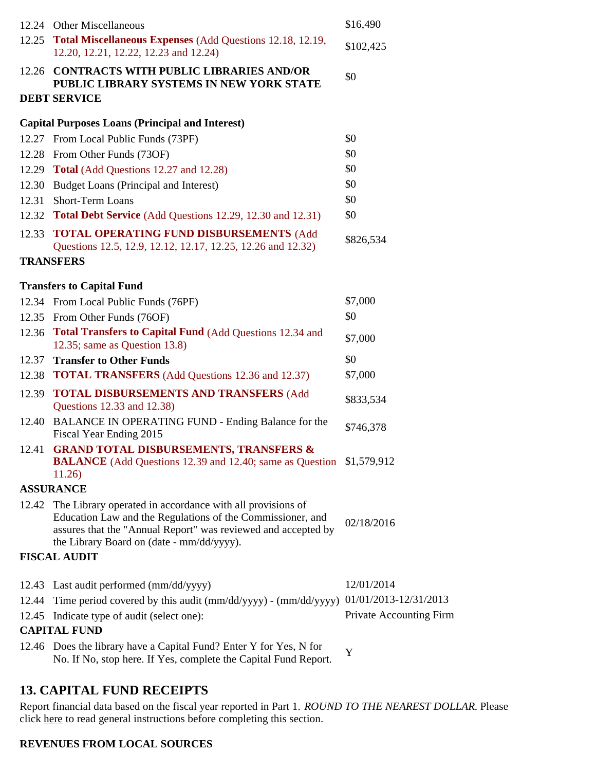|       | 12.24 Other Miscellaneous                                                                                                                                                                                                                   | \$16,490                       |
|-------|---------------------------------------------------------------------------------------------------------------------------------------------------------------------------------------------------------------------------------------------|--------------------------------|
|       | 12.25 Total Miscellaneous Expenses (Add Questions 12.18, 12.19,<br>12.20, 12.21, 12.22, 12.23 and 12.24)                                                                                                                                    | \$102,425                      |
|       | 12.26 CONTRACTS WITH PUBLIC LIBRARIES AND/OR<br>PUBLIC LIBRARY SYSTEMS IN NEW YORK STATE                                                                                                                                                    | \$0                            |
|       | <b>DEBT SERVICE</b>                                                                                                                                                                                                                         |                                |
|       | <b>Capital Purposes Loans (Principal and Interest)</b>                                                                                                                                                                                      |                                |
|       | 12.27 From Local Public Funds (73PF)                                                                                                                                                                                                        | \$0                            |
|       | 12.28 From Other Funds (73OF)                                                                                                                                                                                                               | \$0                            |
|       | 12.29 Total (Add Questions 12.27 and 12.28)                                                                                                                                                                                                 | \$0                            |
|       | 12.30 Budget Loans (Principal and Interest)                                                                                                                                                                                                 | \$0                            |
| 12.31 | Short-Term Loans                                                                                                                                                                                                                            | \$0                            |
|       | 12.32 Total Debt Service (Add Questions 12.29, 12.30 and 12.31)                                                                                                                                                                             | \$0                            |
|       | 12.33 TOTAL OPERATING FUND DISBURSEMENTS (Add<br>Questions 12.5, 12.9, 12.12, 12.17, 12.25, 12.26 and 12.32)                                                                                                                                | \$826,534                      |
|       | <b>TRANSFERS</b>                                                                                                                                                                                                                            |                                |
|       | <b>Transfers to Capital Fund</b>                                                                                                                                                                                                            |                                |
|       | 12.34 From Local Public Funds (76PF)                                                                                                                                                                                                        | \$7,000                        |
|       | 12.35 From Other Funds (76OF)                                                                                                                                                                                                               | \$0                            |
|       | 12.36 Total Transfers to Capital Fund (Add Questions 12.34 and                                                                                                                                                                              |                                |
|       | 12.35; same as Question $13.8$ )                                                                                                                                                                                                            | \$7,000                        |
|       | 12.37 Transfer to Other Funds                                                                                                                                                                                                               | \$0                            |
| 12.38 | <b>TOTAL TRANSFERS</b> (Add Questions 12.36 and 12.37)                                                                                                                                                                                      | \$7,000                        |
| 12.39 | <b>TOTAL DISBURSEMENTS AND TRANSFERS (Add</b><br>Questions 12.33 and 12.38)                                                                                                                                                                 | \$833,534                      |
|       | 12.40 BALANCE IN OPERATING FUND - Ending Balance for the<br>Fiscal Year Ending 2015                                                                                                                                                         | \$746,378                      |
|       | 12.41 GRAND TOTAL DISBURSEMENTS, TRANSFERS &<br><b>BALANCE</b> (Add Questions 12.39 and 12.40; same as Question \$1,579,912<br>11.26)                                                                                                       |                                |
|       | <b>ASSURANCE</b>                                                                                                                                                                                                                            |                                |
|       | 12.42 The Library operated in accordance with all provisions of<br>Education Law and the Regulations of the Commissioner, and<br>assures that the "Annual Report" was reviewed and accepted by<br>the Library Board on (date - mm/dd/yyyy). | 02/18/2016                     |
|       | <b>FISCAL AUDIT</b>                                                                                                                                                                                                                         |                                |
|       |                                                                                                                                                                                                                                             |                                |
|       | 12.43 Last audit performed (mm/dd/yyyy)                                                                                                                                                                                                     | 12/01/2014                     |
| 12.44 | Time period covered by this audit (mm/dd/yyyy) - (mm/dd/yyyy) 01/01/2013-12/31/2013                                                                                                                                                         |                                |
| 12.45 | Indicate type of audit (select one):                                                                                                                                                                                                        | <b>Private Accounting Firm</b> |
|       | <b>CAPITAL FUND</b>                                                                                                                                                                                                                         |                                |
|       | 12.46 Does the library have a Capital Fund? Enter Y for Yes, N for<br>No. If No, stop here. If Yes, complete the Capital Fund Report.                                                                                                       | Y                              |
|       |                                                                                                                                                                                                                                             |                                |

## **13. CAPITAL FUND RECEIPTS**

Report financial data based on the fiscal year reported in Part 1. *ROUND TO THE NEAREST DOLLAR.* Please click here to read general instructions before completing this section.

### **REVENUES FROM LOCAL SOURCES**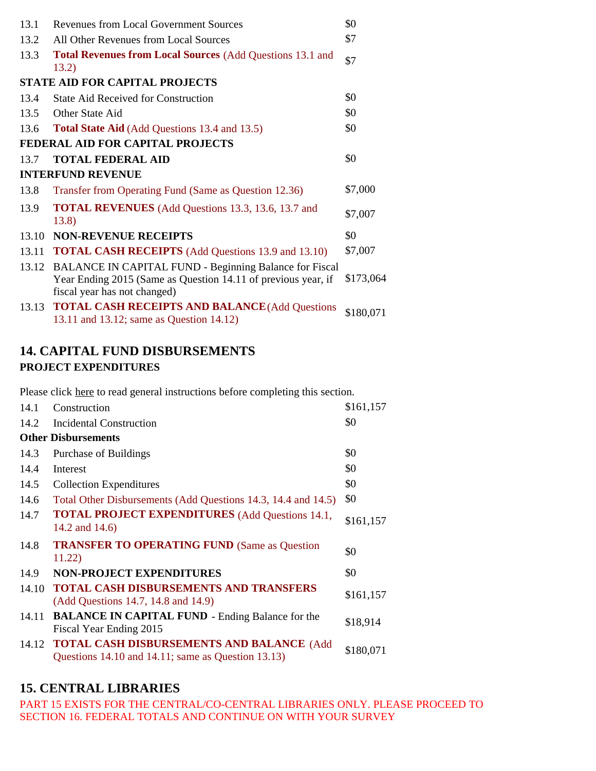| 13.1  | <b>Revenues from Local Government Sources</b>                                                                                                                  | \$0       |
|-------|----------------------------------------------------------------------------------------------------------------------------------------------------------------|-----------|
| 13.2  | All Other Revenues from Local Sources                                                                                                                          | \$7       |
| 13.3  | <b>Total Revenues from Local Sources (Add Questions 13.1 and</b><br>13.2)                                                                                      | \$7       |
|       | <b>STATE AID FOR CAPITAL PROJECTS</b>                                                                                                                          |           |
| 13.4  | <b>State Aid Received for Construction</b>                                                                                                                     | \$0       |
| 13.5  | Other State Aid                                                                                                                                                | \$0       |
| 13.6  | <b>Total State Aid</b> (Add Questions 13.4 and 13.5)                                                                                                           | \$0       |
|       | FEDERAL AID FOR CAPITAL PROJECTS                                                                                                                               |           |
| 13.7  | <b>TOTAL FEDERAL AID</b>                                                                                                                                       | \$0       |
|       | <b>INTERFUND REVENUE</b>                                                                                                                                       |           |
| 13.8  | Transfer from Operating Fund (Same as Question 12.36)                                                                                                          | \$7,000   |
| 13.9  | <b>TOTAL REVENUES</b> (Add Questions 13.3, 13.6, 13.7 and<br>13.8)                                                                                             | \$7,007   |
| 13.10 | <b>NON-REVENUE RECEIPTS</b>                                                                                                                                    | \$0       |
| 13.11 | <b>TOTAL CASH RECEIPTS</b> (Add Questions 13.9 and 13.10)                                                                                                      | \$7,007   |
| 13.12 | <b>BALANCE IN CAPITAL FUND - Beginning Balance for Fiscal</b><br>Year Ending 2015 (Same as Question 14.11 of previous year, if<br>fiscal year has not changed) | \$173,064 |
| 13.13 | <b>TOTAL CASH RECEIPTS AND BALANCE (Add Questions</b><br>13.11 and 13.12; same as Question 14.12)                                                              | \$180,071 |

## **14. CAPITAL FUND DISBURSEMENTS PROJECT EXPENDITURES**

Please click here to read general instructions before completing this section.

| 14.1                       | Construction                                                                                          | \$161,157 |  |  |
|----------------------------|-------------------------------------------------------------------------------------------------------|-----------|--|--|
| 14.2                       | <b>Incidental Construction</b>                                                                        | \$0       |  |  |
| <b>Other Disbursements</b> |                                                                                                       |           |  |  |
| 14.3                       | Purchase of Buildings                                                                                 | \$0       |  |  |
| 14.4                       | Interest                                                                                              | \$0       |  |  |
| 14.5                       | <b>Collection Expenditures</b>                                                                        | \$0       |  |  |
| 14.6                       | Total Other Disbursements (Add Questions 14.3, 14.4 and 14.5)                                         | \$0       |  |  |
| 14.7                       | <b>TOTAL PROJECT EXPENDITURES</b> (Add Questions 14.1,<br>14.2 and 14.6)                              | \$161,157 |  |  |
| 14.8                       | <b>TRANSFER TO OPERATING FUND (Same as Question</b><br>11.22)                                         | \$0       |  |  |
| 14.9                       | <b>NON-PROJECT EXPENDITURES</b>                                                                       | \$0       |  |  |
| 14.10                      | <b>TOTAL CASH DISBURSEMENTS AND TRANSFERS</b><br>(Add Questions 14.7, 14.8 and 14.9)                  | \$161,157 |  |  |
| 14.11                      | <b>BALANCE IN CAPITAL FUND - Ending Balance for the</b><br>Fiscal Year Ending 2015                    | \$18,914  |  |  |
|                            | 14.12 TOTAL CASH DISBURSEMENTS AND BALANCE (Add<br>Questions 14.10 and 14.11; same as Question 13.13) | \$180,071 |  |  |

# **15. CENTRAL LIBRARIES**

PART 15 EXISTS FOR THE CENTRAL/CO-CENTRAL LIBRARIES ONLY. PLEASE PROCEED TO SECTION 16. FEDERAL TOTALS AND CONTINUE ON WITH YOUR SURVEY